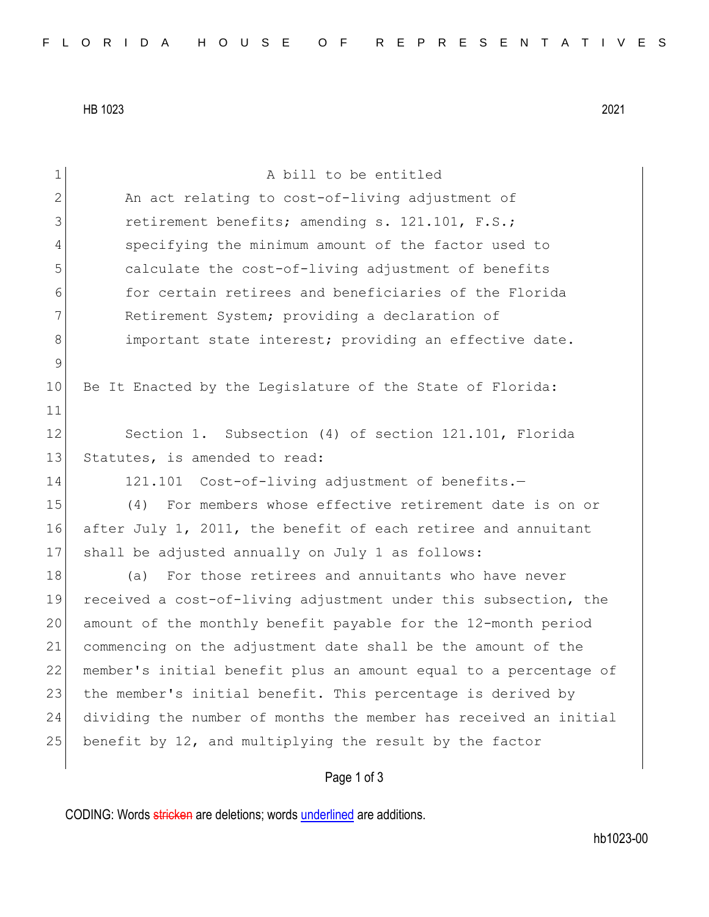HB 1023 2021

| $\mathbf 1$  | A bill to be entitled                                            |
|--------------|------------------------------------------------------------------|
| $\mathbf{2}$ | An act relating to cost-of-living adjustment of                  |
| 3            | retirement benefits; amending s. 121.101, F.S.;                  |
| 4            | specifying the minimum amount of the factor used to              |
| 5            | calculate the cost-of-living adjustment of benefits              |
| 6            | for certain retirees and beneficiaries of the Florida            |
| 7            | Retirement System; providing a declaration of                    |
| $8\,$        | important state interest; providing an effective date.           |
| $\mathsf 9$  |                                                                  |
| 10           | Be It Enacted by the Legislature of the State of Florida:        |
| 11           |                                                                  |
| 12           | Section 1. Subsection (4) of section 121.101, Florida            |
| 13           | Statutes, is amended to read:                                    |
| 14           | 121.101 Cost-of-living adjustment of benefits.-                  |
| 15           | For members whose effective retirement date is on or<br>(4)      |
| 16           | after July 1, 2011, the benefit of each retiree and annuitant    |
| 17           | shall be adjusted annually on July 1 as follows:                 |
| 18           | For those retirees and annuitants who have never<br>(a)          |
| 19           | received a cost-of-living adjustment under this subsection, the  |
| 20           | amount of the monthly benefit payable for the 12-month period    |
| 21           | commencing on the adjustment date shall be the amount of the     |
| 22           | member's initial benefit plus an amount equal to a percentage of |
| 23           | the member's initial benefit. This percentage is derived by      |
| 24           | dividing the number of months the member has received an initial |
| 25           | benefit by 12, and multiplying the result by the factor          |
|              | Page 1 of 3                                                      |

CODING: Words stricken are deletions; words underlined are additions.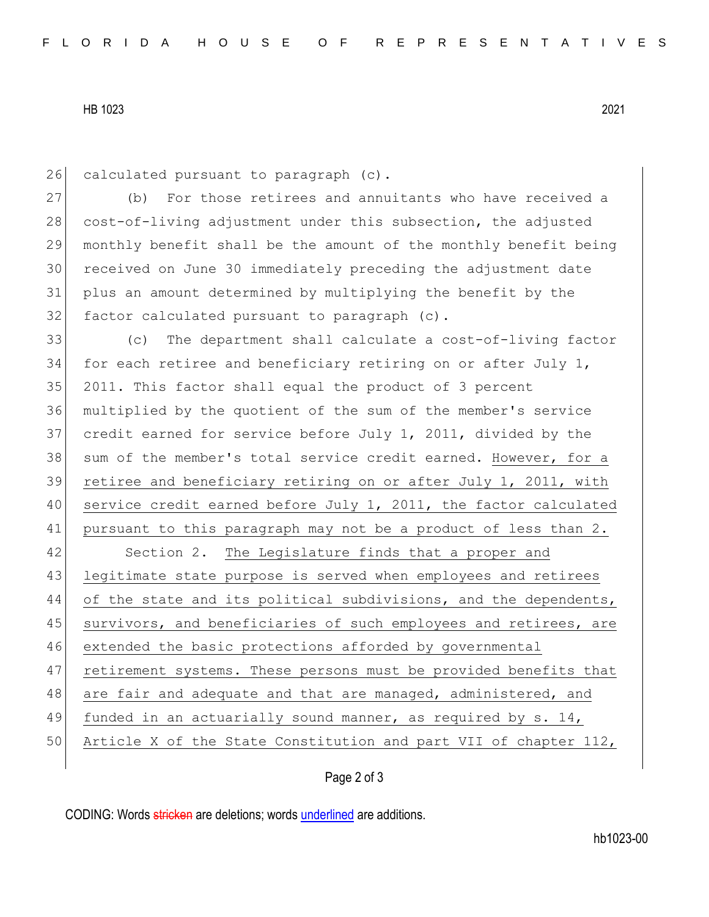## HB 1023 2021

26 calculated pursuant to paragraph (c).

 (b) For those retirees and annuitants who have received a 28 cost-of-living adjustment under this subsection, the adjusted monthly benefit shall be the amount of the monthly benefit being received on June 30 immediately preceding the adjustment date plus an amount determined by multiplying the benefit by the 32 factor calculated pursuant to paragraph (c).

33 (c) The department shall calculate a cost-of-living factor 34 for each retiree and beneficiary retiring on or after July 1, 35 2011. This factor shall equal the product of 3 percent 36 multiplied by the quotient of the sum of the member's service 37 credit earned for service before July 1, 2011, divided by the 38 sum of the member's total service credit earned. However, for a 39 retiree and beneficiary retiring on or after July 1, 2011, with 40 service credit earned before July 1, 2011, the factor calculated 41 pursuant to this paragraph may not be a product of less than 2. 42 Section 2. The Legislature finds that a proper and 43 legitimate state purpose is served when employees and retirees 44 of the state and its political subdivisions, and the dependents, 45 survivors, and beneficiaries of such employees and retirees, are 46 extended the basic protections afforded by governmental 47 retirement systems. These persons must be provided benefits that 48 are fair and adequate and that are managed, administered, and 49 funded in an actuarially sound manner, as required by s. 14, 50 Article X of the State Constitution and part VII of chapter 112,

## Page 2 of 3

CODING: Words stricken are deletions; words underlined are additions.